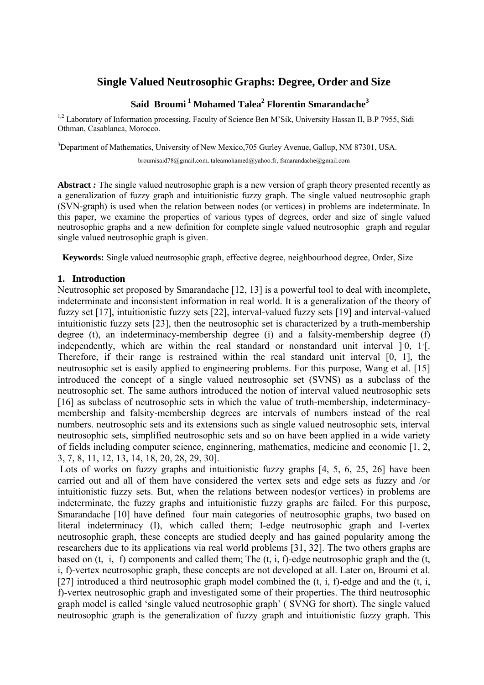# **Single Valued Neutrosophic Graphs: Degree, Order and Size**

## **Said Broumi<sup>1</sup> Mohamed Talea<sup>2</sup> Florentin Smarandache<sup>3</sup>**

<sup>1,2</sup> Laboratory of Information processing, Faculty of Science Ben M'Sik, University Hassan II, B.P 7955, Sidi Othman, Casablanca, Morocco.

<sup>3</sup>Department of Mathematics, University of New Mexico, 705 Gurley Avenue, Gallup, NM 87301, USA.

broumisaid78@gmail.com, taleamohamed@yahoo.fr,fsmarandache@gmail.com

Abstract *:* The single valued neutrosophic graph is a new version of graph theory presented recently as a generalization of fuzzy graph and intuitionistic fuzzy graph. The single valued neutrosophic graph (SVN-graph) is used when the relation between nodes (or vertices) in problems are indeterminate. In this paper, we examine the properties of various types of degrees, order and size of single valued neutrosophic graphs and a new definition for complete single valued neutrosophic graph and regular single valued neutrosophic graph is given.

**Keywords:** Single valued neutrosophic graph, effective degree, neighbourhood degree, Order, Size

### **1. Introduction**

Neutrosophic set proposed by Smarandache [12, 13] is a powerful tool to deal with incomplete, indeterminate and inconsistent information in real world. It is a generalization of the theory of fuzzy set [17], intuitionistic fuzzy sets [22], interval-valued fuzzy sets [19] and interval-valued intuitionistic fuzzy sets [23], then the neutrosophic set is characterized by a truth-membership degree (t), an indeterminacy-membership degree (i) and a falsity-membership degree (f) independently, which are within the real standard or nonstandard unit interval ]<sup>−</sup> 0, 1+ [. Therefore, if their range is restrained within the real standard unit interval [0, 1], the neutrosophic set is easily applied to engineering problems. For this purpose, Wang et al. [15] introduced the concept of a single valued neutrosophic set (SVNS) as a subclass of the neutrosophic set. The same authors introduced the notion of interval valued neutrosophic sets [16] as subclass of neutrosophic sets in which the value of truth-membership, indeterminacymembership and falsity-membership degrees are intervals of numbers instead of the real numbers. neutrosophic sets and its extensions such as single valued neutrosophic sets, interval neutrosophic sets, simplified neutrosophic sets and so on have been applied in a wide variety of fields including computer science, enginnering, mathematics, medicine and economic [1, 2, 3, 7, 8, 11, 12, 13, 14, 18, 20, 28, 29, 30].

Lots of works on fuzzy graphs and intuitionistic fuzzy graphs [4, 5, 6, 25, 26] have been carried out and all of them have considered the vertex sets and edge sets as fuzzy and /or intuitionistic fuzzy sets. But, when the relations between nodes(or vertices) in problems are indeterminate, the fuzzy graphs and intuitionistic fuzzy graphs are failed. For this purpose, Smarandache [10] have defined four main categories of neutrosophic graphs, two based on literal indeterminacy (I), which called them; I-edge neutrosophic graph and I-vertex neutrosophic graph, these concepts are studied deeply and has gained popularity among the researchers due to its applications via real world problems [31, 32]. The two others graphs are based on  $(t, i, f)$  components and called them; The  $(t, i, f)$ -edge neutrosophic graph and the  $(t, i, f)$ i, f)-vertex neutrosophic graph, these concepts are not developed at all. Later on, Broumi et al. [27] introduced a third neutrosophic graph model combined the  $(t, i, f)$ -edge and and the  $(t, i, f)$ f)-vertex neutrosophic graph and investigated some of their properties. The third neutrosophic graph model is called 'single valued neutrosophic graph' ( SVNG for short). The single valued neutrosophic graph is the generalization of fuzzy graph and intuitionistic fuzzy graph. This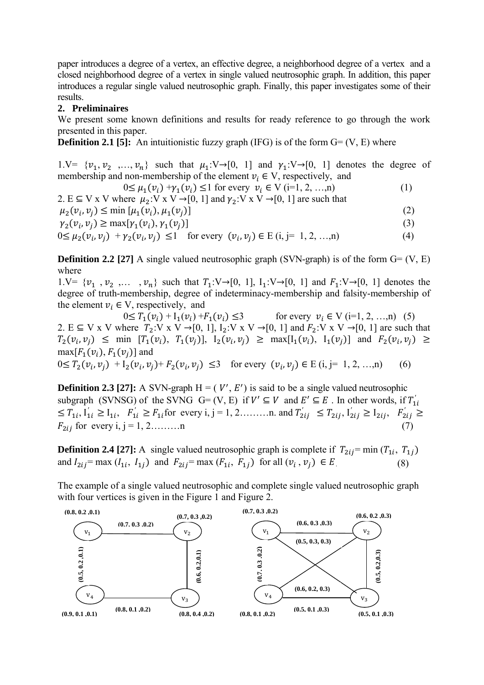paper introduces a degree of a vertex, an effective degree, a neighborhood degree of a vertex and a closed neighborhood degree of a vertex in single valued neutrosophic graph. In addition, this paper introduces a regular single valued neutrosophic graph. Finally, this paper investigates some of their results.

#### **2. Preliminaires**

We present some known definitions and results for ready reference to go through the work presented in this paper.

**Definition 2.1 [5]:** An intuitionistic fuzzy graph (IFG) is of the form  $G = (V, E)$  where

1.V=  $\{v_1, v_2, ..., v_n\}$  such that  $\mu_1: V \rightarrow [0, 1]$  and  $\gamma_1: V \rightarrow [0, 1]$  denotes the degree of membership and non-membership of the element  $v_i \in V$ , respectively, and

$$
0 \le \mu_1(v_i) + \gamma_1(v_i) \le 1 \text{ for every } v_i \in V \text{ (i=1, 2, ..., n)}
$$
 (1)

2. E  $\subseteq$  V x V where  $\mu_2$ :V x V  $\rightarrow$  [0, 1] and  $\gamma_2$ :V x V  $\rightarrow$  [0, 1] are such that  $\mu_2(v_i, v_i) \le \min [\mu_1(v_i), \mu_1(v_i)]$  (2)  $\gamma_2(v_i, v_i) \ge \max[\gamma_1(v_i), \gamma_1(v_i)]$  (3)

 $0 \le \mu_2(v_i, v_j) + \gamma_2(v_i, v_j) \le 1$  for every  $(v_i, v_j) \in E$  (i, j= 1, 2, …,n) (4)

**Definition 2.2 [27]** A single valued neutrosophic graph (SVN-graph) is of the form  $G = (V, E)$ where

1.V=  $\{v_1, v_2, \ldots, v_n\}$  such that  $T_1: V \rightarrow [0, 1]$ ,  $I_1: V \rightarrow [0, 1]$  and  $F_1: V \rightarrow [0, 1]$  denotes the degree of truth-membership, degree of indeterminacy-membership and falsity-membership of the element  $v_i \in V$ , respectively, and

 $0 \leq T_1(v_i) + I_1(v_i) + F_1(v_i) \leq 3$  for every  $v_i \in V$  (i=1, 2, …,n) (5) 2. E  $\subseteq$  V x V where  $T_2: V \times V \rightarrow [0, 1], I_2: V \times V \rightarrow [0, 1]$  and  $F_2: V \times V \rightarrow [0, 1]$  are such that  $T_2(v_i, v_j) \leq \min \left[T_1(v_i), T_1(v_i)\right], I_2(v_i, v_j) \geq \max[I_1(v_i), I_1(v_j)] \text{ and } F_2(v_i, v_j) \geq \min(I_1(v_i), I_2(v_j, v_j))$  $max[F_1(v_i), F_1(v_i)]$  and  $0 \leq T_2(v_i, v_j) + I_2(v_i, v_j) + F_2(v_i, v_j) \leq 3$  for every  $(v_i, v_j) \in E$  (i, j= 1, 2, …,n) (6)

**Definition 2.3 [27]:** A SVN-graph  $H = (V', E')$  is said to be a single valued neutrosophic subgraph (SVNSG) of the SVNG  $G = (V, E)$  if  $V' \subseteq V$  and  $E' \subseteq E$ . In other words, if  $T'_{1i}$  $\leq T_{1i}, I'_{1i} \geq I_{1i}, F'_{1i} \geq F_{1i}$  for every i, j = 1, 2………n. and  $T'_{2ij} \leq T_{2ij}, I'_{2ij} \geq I_{2ij}, F'_{2ij} \geq I_{2ij}$  $F_{2ii}$  for every i, j = 1, 2………n

**Definition 2.4 [27]:** A single valued neutrosophic graph is complete if  $T_{2ij}$ = min ( $T_{1i}$ ,  $T_{1i}$ ) and  $I_{2ij}$ = max  $(I_{1i}, I_{1j})$  and  $F_{2ij}$ = max  $(F_{1i}, F_{1j})$  for all  $(v_i, v_j) \in E$ . (8)

The example of a single valued neutrosophic and complete single valued neutrosophic graph with four vertices is given in the Figure 1 and Figure 2.

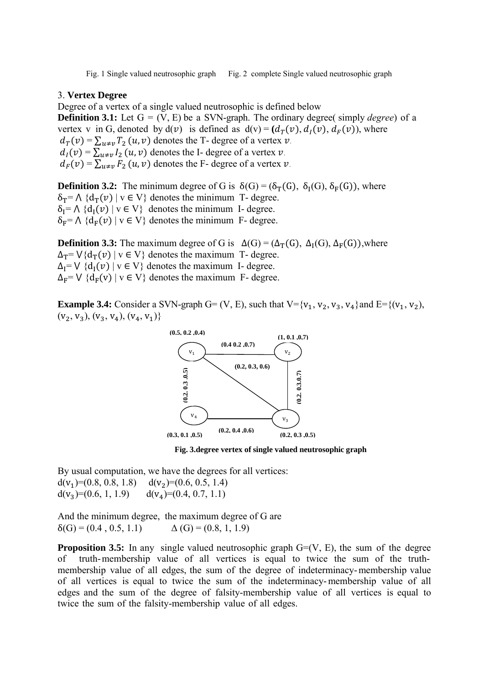Fig. 1 Single valued neutrosophic graph Fig. 2 complete Single valued neutrosophic graph

#### 3. **Vertex Degree**

Degree of a vertex of a single valued neutrosophic is defined below **Definition 3.1:** Let  $G = (V, E)$  be a SVN-graph. The ordinary degree( simply *degree*) of a vertex v in G, denoted by  $d(v)$  is defined as  $d(v) = (d<sub>T</sub>(v), d<sub>T</sub>(v), d<sub>F</sub>(v))$ , where  $d_T(v) = \sum_{u \neq v} T_2(u, v)$  denotes the T- degree of a vertex  $v$ .  $d_I(v) = \sum_{u \neq v} I_2(u, v)$  denotes the I- degree of a vertex  $v$ .  $d_F(v) = \sum_{u \neq v} F_2(u, v)$  denotes the F- degree of a vertex  $v$ .

**Definition 3.2:** The minimum degree of G is  $\delta(G) = (\delta_T(G), \delta_T(G), \delta_F(G))$ , where  $\delta_T = \Lambda \{ d_T(v) \mid v \in V \}$  denotes the minimum T- degree.  $\delta_1 = \Lambda \{d_1(v) \mid v \in V\}$  denotes the minimum I- degree.  $\delta_F = \Lambda \{d_F(v) \mid v \in V\}$  denotes the minimum F- degree.

**Definition 3.3:** The maximum degree of G is  $\Delta(G) = (\Delta_T(G), \Delta_I(G), \Delta_F(G))$ , where  $\Delta_{\rm T} = \bigvee {\{d_{\rm T}(v) \mid v \in V\}}$  denotes the maximum T- degree.  $\Delta_I = \bigvee \{d_I(\nu) \mid v \in V\}$  denotes the maximum I- degree.  $\Delta_{\mathbf{F}} = \mathbf{V} \{d_{\mathbf{F}}(\mathbf{v}) \mid \mathbf{v} \in \mathbf{V}\}\$  denotes the maximum F- degree.

**Example 3.4:** Consider a SVN-graph G=  $(V, E)$ , such that  $V = {v_1, v_2, v_3, v_4}$  and  $E = {(v_1, v_2)}$ ,  $(V_2, V_3), (V_3, V_4), (V_4, V_1)$ 



**Fig. 3.degree vertex of single valued neutrosophic graph** 

By usual computation, we have the degrees for all vertices:  $d(v_1)=(0.8, 0.8, 1.8)$   $d(v_2)=(0.6, 0.5, 1.4)$ <br> $d(v_3)=(0.6, 1, 1.9)$   $d(v_4)=(0.4, 0.7, 1.1)$  $d(v_4)=(0.4, 0.7, 1.1)$ 

And the minimum degree, the maximum degree of G are  $\delta(G) = (0.4, 0.5, 1.1)$   $\Delta(G) = (0.8, 1, 1.9)$ 

**Proposition 3.5:** In any single valued neutrosophic graph G=(V, E), the sum of the degree of truth-membership value of all vertices is equal to twice the sum of the truthmembership value of all edges, the sum of the degree of indeterminacy- membership value of all vertices is equal to twice the sum of the indeterminacy- membership value of all edges and the sum of the degree of falsity-membership value of all vertices is equal to twice the sum of the falsity-membership value of all edges.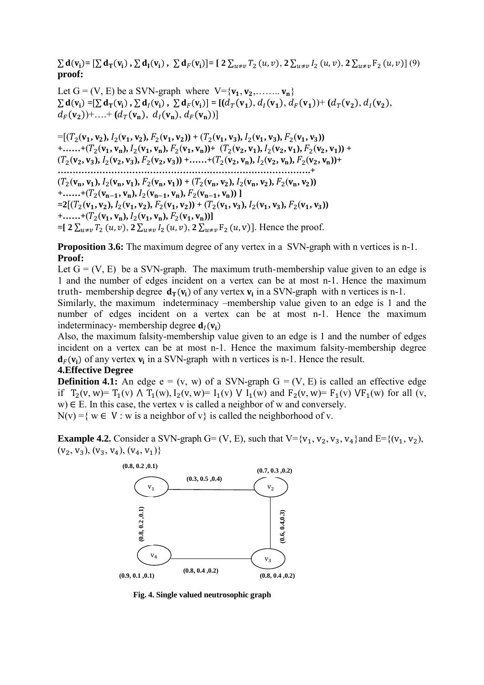$\sum d(v_i) = [\sum d_T(v_i), \sum d_I(v_i), \sum d_F(v_i)] = [2 \sum_{u \neq v} T_2(u, v), 2 \sum_{u \neq v} I_2(u, v), 2 \sum_{u \neq v} F_2(u, v)]$  (9) **proof:** 

Let  $G = (V, E)$  be a SVN-graph where  $V = \{v_1, v_2, \ldots, v_n\}$  $\sum d_{\Gamma}(v_i) = [\sum d_{\Gamma}(v_i), \sum d_{\Gamma}(v_i), \sum d_{\Gamma}(v_i)] = [(d_{\Gamma}(v_1), d_{\Gamma}(v_1), d_{\Gamma}(v_1)) + (d_{\Gamma}(v_2), d_{\Gamma}(v_2),$  $d_F(v_2)$ +...+  $(d_T(v_n), d_I(v_n), d_F(v_n))]$ 

 $= [(T_2(v_1, v_2), I_2(v_1, v_2), F_2(v_1, v_2)) + (T_2(v_1, v_3), I_2(v_1, v_3), F_2(v_1, v_3))$  $+$ ......+ $(T_2(\mathbf{v}_1, \mathbf{v}_n), I_2(\mathbf{v}_1, \mathbf{v}_n), F_2(\mathbf{v}_1, \mathbf{v}_n)) + (T_2(\mathbf{v}_2, \mathbf{v}_1), I_2(\mathbf{v}_2, \mathbf{v}_1), F_2(\mathbf{v}_2, \mathbf{v}_1)) +$  $(T_2(\mathbf{v}_2, \mathbf{v}_3), I_2(\mathbf{v}_2, \mathbf{v}_3), F_2(\mathbf{v}_2, \mathbf{v}_3)) + \dots + (T_2(\mathbf{v}_2, \mathbf{v}_n), I_2(\mathbf{v}_2, \mathbf{v}_n), F_2(\mathbf{v}_2, \mathbf{v}_n)) +$ **………………………………………………………………………….+**   $(T_2(\mathbf{v}_n, \mathbf{v}_1), I_2(\mathbf{v}_n, \mathbf{v}_1), F_2(\mathbf{v}_n, \mathbf{v}_1)) + (T_2(\mathbf{v}_n, \mathbf{v}_2), I_2(\mathbf{v}_n, \mathbf{v}_2), F_2(\mathbf{v}_n, \mathbf{v}_2))$  $+$ ......+ $(T_2(v_{n-1}, v_n), I_2(v_{n-1}, v_n), F_2(v_{n-1}, v_n))$ ]  $= 2[(T_2(v_1, v_2), I_2(v_1, v_2), F_2(v_1, v_2)) + (T_2(v_1, v_3), I_2(v_1, v_3), F_2(v_1, v_3))$  $+$ **......**+ $(T_2(\mathbf{v}_1, \mathbf{v}_n), I_2(\mathbf{v}_1, \mathbf{v}_n), F_2(\mathbf{v}_1, \mathbf{v}_n))$  $=[ 2 \sum_{u \neq v} T_2(u, v), 2 \sum_{u \neq v} I_2(u, v), 2 \sum_{u \neq v} F_2(u, v)]$ . Hence the proof.

**Proposition 3.6:** The maximum degree of any vertex in a SVN-graph with n vertices is n-1. **Proof:**

Let  $G = (V, E)$  be a SVN-graph. The maximum truth-membership value given to an edge is 1 and the number of edges incident on a vertex can be at most n-1. Hence the maximum truth- membership degree  $\mathbf{d}_{\mathbf{T}}(\mathbf{v}_i)$  of any vertex  $\mathbf{v}_i$  in a SVN-graph with n vertices is n-1.

Similarly, the maximum indeterminacy –membership value given to an edge is 1 and the number of edges incident on a vertex can be at most n-1. Hence the maximum indeterminacy- membership degree  $\mathbf{d}_i(\mathbf{v}_i)$ 

Also, the maximum falsity-membership value given to an edge is 1 and the number of edges incident on a vertex can be at most n-1. Hence the maximum falsity-membership degree  $d_F(v_i)$  of any vertex  $v_i$  in a SVN-graph with n vertices is n-1. Hence the result.

#### **4.Effective Degree**

**Definition 4.1:** An edge  $e = (v, w)$  of a SVN-graph  $G = (V, E)$  is called an effective edge if  $T_2(v, w) = T_1(v) \wedge T_1(w)$ ,  $I_2(v, w) = I_1(v) \vee I_1(w)$  and  $F_2(v, w) = F_1(v) \vee F_1(w)$  for all (v,  $w \in E$ . In this case, the vertex v is called a neighbor of w and conversely.

 $N(v) = \{ w \in V : w \text{ is a neighbor of } v \}$  is called the neighborhood of v.

**Example 4.2.** Consider a SVN-graph G= (V, E), such that  $V = \{v_1, v_2, v_3, v_4\}$  and  $E = \{(v_1, v_2),$  $(V_2, V_3), (V_3, V_4), (V_4, V_1)$ 



**Fig. 4. Single valued neutrosophic graph**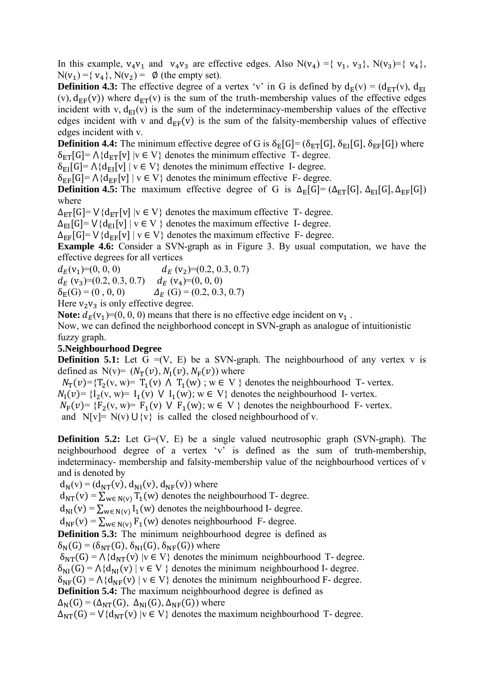In this example,  $v_4v_1$  and  $v_4v_3$  are effective edges. Also  $N(v_4) = \{v_1, v_3\}$ ,  $N(v_3) = \{v_4\}$ ,  $N(v_1) = \{ v_4 \}, N(v_2) = \emptyset$  (the empty set).

**Definition 4.3:** The effective degree of a vertex 'v' in G is defined by  $d_E(v) = (d_{ET}(v), d_{EI}(v))$ (v),  $d_{EF}(v)$ ) where  $d_{ET}(v)$  is the sum of the truth-membership values of the effective edges incident with v,  $d_{EI}(v)$  is the sum of the indeterminacy-membership values of the effective edges incident with v and  $d_{EF}(v)$  is the sum of the falsity-membership values of effective edges incident with v.

**Definition 4.4:** The minimum effective degree of G is  $\delta_E[G] = (\delta_{ET}[G], \delta_{EI}[G], \delta_{EF}[G])$  where  $\delta_{\text{ET}}[G] = \Lambda \{d_{\text{ET}}[v] | v \in V\}$  denotes the minimum effective T- degree.

 $\delta_{\text{EI}}[G] = \Lambda \{d_{\text{EI}}[v] \mid v \in V\}$  denotes the minimum effective I- degree.

 $\delta_{EF}[G] = \Lambda \{d_{EF}[v] \mid v \in V\}$  denotes the minimum effective F- degree.

**Definition 4.5:** The maximum effective degree of G is  $\Delta_E[G] = (\Delta_{ET}[G], \Delta_{EI}[G], \Delta_{EF}[G])$ where

 $\Delta_{\text{ET}}[G] = V\{d_{\text{ET}}[v] \mid v \in V\}$  denotes the maximum effective T- degree.

 $\Delta_{EI}[G] = V\{d_{EI}[v] \mid v \in V\}$  denotes the maximum effective I- degree.

 $\Delta_{EF}[G]$ =  $\vee$ {d<sub>EF</sub>[v] | v  $\in$  V} denotes the maximum effective F- degree.

**Example 4.6:** Consider a SVN-graph as in Figure 3. By usual computation, we have the effective degrees for all vertices

 $d_E(v_1)= (0, 0, 0)$   $d_E(v_2)= (0.2, 0.3, 0.7)$  $d_F$  (v<sub>3</sub>)=(0.2, 0.3, 0.7)  $d_F$  (v<sub>4</sub>)=(0, 0, 0)  $\delta_F(G) = (0, 0, 0)$   $\Delta_F(G) = (0.2, 0.3, 0.7)$ 

Here  $v_2v_3$  is only effective degree.

**Note:**  $d_E(v_1)=(0, 0, 0)$  means that there is no effective edge incident on  $v_1$ .

Now, we can defined the neighborhood concept in SVN-graph as analogue of intuitionistic fuzzy graph.

#### **5.Neighbourhood Degree**

**Definition 5.1:** Let  $G = (V, E)$  be a SVN-graph. The neighbourhood of any vertex v is defined as  $N(v) = (N_T(v), N_I(v), N_F(v))$  where

 $N_T(v) = {T_2(v, w) = T_1(v) \land T_1(w)$ ;  $w \in V}$  denotes the neighbourhood T- vertex.

 $N_1(v) = \{I_2(v, w) = I_1(v) \mid V_1(w); w \in V\}$  denotes the neighbourhood I- vertex.

 $N_F(v) = {F_2(v, w) = F_1(v) \lor F_1(w)}$ ; w  $\in V$  } denotes the neighbourhood F- vertex.

and  $N[v] = N(v) \cup \{v\}$  is called the closed neighbourhood of v.

**Definition 5.2:** Let G=(V, E) be a single valued neutrosophic graph (SVN-graph). The neighbourhood degree of a vertex 'v' is defined as the sum of truth-membership, indeterminacy- membership and falsity-membership value of the neighbourhood vertices of v and is denoted by

 $d_N(v) = (d_{NT}(v), d_{NI}(v), d_{NF}(v))$  where

 $d_{NT}(v) = \sum_{w \in N(v)} T_1(w)$  denotes the neighbourhood T- degree.

 $d_{\text{NI}}(v) = \sum_{w \in N(v)} I_1(w)$  denotes the neighbourhood I- degree.

 $d_{NF}(v) = \sum_{w \in N(v)} F_1(w)$  denotes neighbourhood F- degree.

**Definition 5.3:** The minimum neighbourhood degree is defined as  $\delta_N(G) = (\delta_{NT}(G), \delta_{NI}(G), \delta_{NF}(G))$  where

 $\delta_{NT}(G) = \Lambda \{d_{NT}(v) | v \in V\}$  denotes the minimum neighbourhood T- degree.

 $\delta_{NI}(G) = \Lambda \{d_{NI}(v) \mid v \in V \}$  denotes the minimum neighbourhood I- degree.

 $\delta_{\text{NF}}(G) = \Lambda \{ d_{\text{NF}}(v) \mid v \in V \}$  denotes the minimum neighbourhood F- degree.

**Definition 5.4:** The maximum neighbourhood degree is defined as

 $\Delta_N(G) = (\Delta_{NT}(G), \Delta_{NI}(G), \Delta_{NF}(G))$  where

 $\Delta_{\text{NT}}(G) = V\{d_{\text{NT}}(v) \mid v \in V\}$  denotes the maximum neighbourhood T- degree.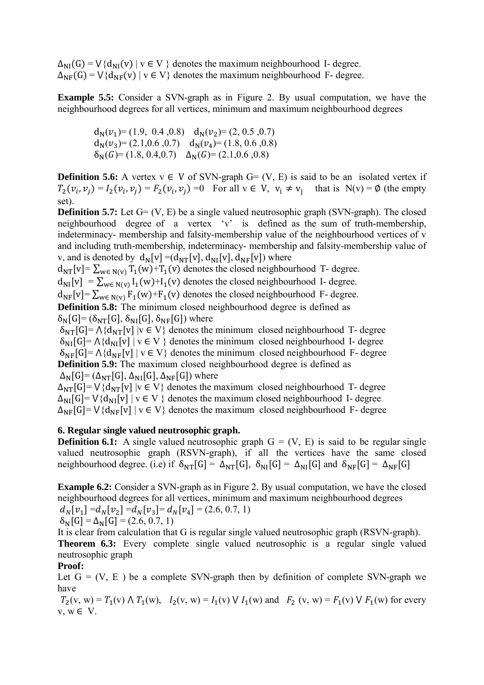$\Delta_{NI}(G) = V\{d_{NI}(v) \mid v \in V\}$  denotes the maximum neighbourhood I- degree.  $\Delta_{\text{NF}}(G) = V\{d_{\text{NF}}(v) \mid v \in V\}$  denotes the maximum neighbourhood F- degree.

**Example 5.5:** Consider a SVN-graph as in Figure 2. By usual computation, we have the neighbourhood degrees for all vertices, minimum and maximum neighbourhood degrees

 $d_N(v_1)=(1.9, 0.4, 0.8)$   $d_N(v_2)=(2, 0.5, 0.7)$  $d_N(v_3)=(2.1,0.6,0.7)$   $d_N(v_4)=(1.8, 0.6, 0.8)$  $\delta_N(G) = (1.8, 0.4, 0.7)$   $\Delta_N(G) = (2.1, 0.6, 0.8)$ 

**Definition 5.6:** A vertex  $v \in V$  of SVN-graph  $G = (V, E)$  is said to be an isolated vertex if  $T_2(v_i, v_j) = I_2(v_i, v_j) = F_2(v_i, v_j) = 0$  For all  $v \in V$ ,  $v_i \neq v_j$  that is  $N(v) = \emptyset$  (the empty set).

**Definition 5.7:** Let G= (V, E) be a single valued neutrosophic graph (SVN-graph). The closed neighbourhood degree of a vertex 'v' is defined as the sum of truth-membership, indeterminacy- membership and falsity-membership value of the neighbourhood vertices of v and including truth-membership, indeterminacy- membership and falsity-membership value of v, and is denoted by  $d_N[v] = (d_{NT}[v], d_{NI}[v], d_{NF}[v])$  where

 $d_{NT}[v] = \sum_{w \in N(v)} T_1(w) + T_1(v)$  denotes the closed neighbourhood T- degree.

 $d_{\text{NI}}[v] = \sum_{w \in N(v)} I_1(w) + I_1(v)$  denotes the closed neighbourhood I- degree.

 $d_{NF}[v] = \sum_{w \in N(v)} F_1(w) + F_1(v)$  denotes the closed neighbourhood F- degree.

**Definition 5.8:** The minimum closed neighbourhood degree is defined as  $\delta_N[G] = (\delta_{NT}[G], \delta_{NI}[G], \delta_{NF}[G])$  where

 $\delta_{\rm NT}[G] = \Lambda \{d_{\rm NT}[v] \mid v \in V\}$  denotes the minimum closed neighbourhood T- degree  $\delta_{\text{NI}}[G] = \Lambda \{d_{\text{NI}}[v] \mid v \in V\}$  denotes the minimum closed neighbourhood I- degree  $\delta_{\text{NE}}[G] = \Lambda \{d_{\text{NE}}[v] \mid v \in V\}$  denotes the minimum closed neighbourhood F- degree **Definition 5.9:** The maximum closed neighbourhood degree is defined as

 $\Delta_N[G] = (\Delta_{NT}[G], \Delta_{NI}[G], \Delta_{NF}[G])$  where  $\Delta_{\rm NT}[G]$ =  $\vee$ {d<sub>NT</sub>[v] |v  $\in$  V} denotes the maximum closed neighbourhood T- degree  $\Delta_{\text{NI}}[G] = V{d_{\text{NI}}[v]} | v \in V$  } denotes the maximum closed neighbourhood I- degree  $\Delta_{\text{NF}}[G] = V{d_{\text{NF}}[v] \mid v \in V}$  denotes the maximum closed neighbourhood F- degree

### **6. Regular single valued neutrosophic graph.**

**Definition 6.1:** A single valued neutrosophic graph  $G = (V, E)$  is said to be regular single valued neutrosophic graph (RSVN-graph), if all the vertices have the same closed neighbourhood degree. (i.e) if  $\delta_{NT}[G] = \Delta_{NT}[G]$ ,  $\delta_{NI}[G] = \Delta_{NI}[G]$  and  $\delta_{NF}[G] = \Delta_{NF}[G]$ 

**Example 6.2:** Consider a SVN-graph as in Figure 2. By usual computation, we have the closed neighbourhood degrees for all vertices, minimum and maximum neighbourhood degrees  $d_N[v_1] = d_N[v_2] = d_N[v_3] = d_N[v_4] = (2.6, 0.7, 1)$ 

$$
\delta_{\rm N}[\rm G] = \Delta_{\rm N}[\rm G] = (2.6, 0.7, 1)
$$

It is clear from calculation that G is regular single valued neutrosophic graph (RSVN-graph).

**Theorem 6.3:** Every complete single valued neutrosophic is a regular single valued neutrosophic graph

#### **Proof:**

Let  $G = (V, E)$  be a complete SVN-graph then by definition of complete SVN-graph we have

 $T_2(v, w) = T_1(v) \wedge T_1(w)$ ,  $I_2(v, w) = I_1(v) \vee I_1(w)$  and  $F_2(v, w) = F_1(v) \vee F_1(w)$  for every v, w ∈ V.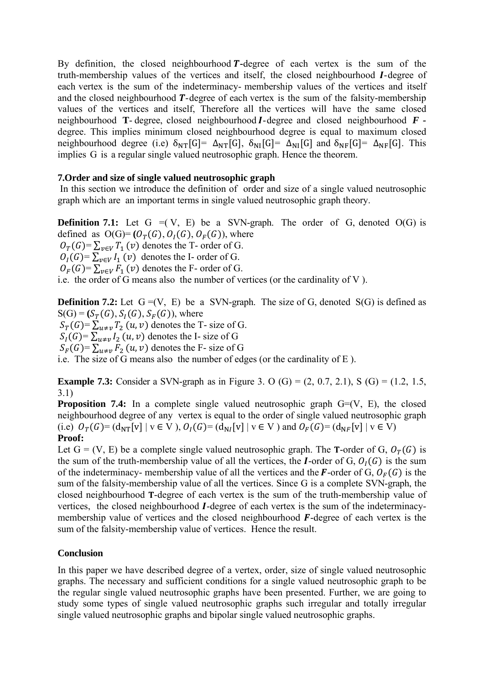By definition, the closed neighbourhood **T**-degree of each vertex is the sum of the truth-membership values of the vertices and itself, the closed neighbourhood I-degree of each vertex is the sum of the indeterminacy- membership values of the vertices and itself and the closed neighbourhood  $T$ -degree of each vertex is the sum of the falsity-membership values of the vertices and itself, Therefore all the vertices will have the same closed neighbourhood **T**-degree, closed neighbourhood  $I$ -degree and closed neighbourhood  $F$ degree. This implies minimum closed neighbourhood degree is equal to maximum closed neighbourhood degree (i.e)  $\delta_{NT}[G] = \Delta_{NT}[G]$ ,  $\delta_{NI}[G] = \Delta_{NI}[G]$  and  $\delta_{NF}[G] = \Delta_{NF}[G]$ . This implies G is a regular single valued neutrosophic graph. Hence the theorem.

### **7.Order and size of single valued neutrosophic graph**

 In this section we introduce the definition of order and size of a single valued neutrosophic graph which are an important terms in single valued neutrosophic graph theory.

**Definition 7.1:** Let  $G = (V, E)$  be a SVN-graph. The order of  $G$ , denoted  $O(G)$  is defined as  $O(G) = (O_T(G), O_I(G), O_F(G))$ , where  $Q_T(G) = \sum_{v \in V} T_1(v)$  denotes the T- order of G.  $O_I(G) = \sum_{v \in V} I_1(v)$  denotes the I- order of G.  $O_F(G) = \sum_{v \in V} F_1(v)$  denotes the F- order of G.

i.e. the order of G means also the number of vertices (or the cardinality of V ).

**Definition 7.2:** Let  $G = (V, E)$  be a SVN-graph. The size of G, denoted  $S(G)$  is defined as  $S(G) = (S_T(G), S_I(G), S_F(G))$ , where  $S_T(G) = \sum_{u \neq v} T_2(u, v)$  denotes the T- size of G.

 $S_I(G) = \sum_{u \neq v} I_2(u, v)$  denotes the I- size of G

 $S_F(G) = \sum_{u \neq v} F_2(u, v)$  denotes the F- size of G

i.e. The size of G means also the number of edges (or the cardinality of E ).

**Example 7.3:** Consider a SVN-graph as in Figure 3. O (G) =  $(2, 0.7, 2.1)$ , S (G) =  $(1.2, 1.5, 1.5)$ 3.1)

**Proposition 7.4:** In a complete single valued neutrosophic graph G=(V, E), the closed neighbourhood degree of any vertex is equal to the order of single valued neutrosophic graph (i.e)  $O_T(G) = (d_{NT}[v] \mid v \in V)$ ,  $O_I(G) = (d_{NT}[v] \mid v \in V)$  and  $O_F(G) = (d_{NF}[v] \mid v \in V)$ **Proof:**

Let  $G = (V, E)$  be a complete single valued neutrosophic graph. The **T**-order of G,  $O_T(G)$  is the sum of the truth-membership value of all the vertices, the *I*-order of G,  $O<sub>I</sub>(G)$  is the sum of the indeterminacy- membership value of all the vertices and the F-order of G,  $O_F(G)$  is the sum of the falsity-membership value of all the vertices. Since G is a complete SVN-graph, the closed neighbourhood **T**-degree of each vertex is the sum of the truth-membership value of vertices, the closed neighbourhood *I*-degree of each vertex is the sum of the indeterminacymembership value of vertices and the closed neighbourhood  $\vec{F}$ -degree of each vertex is the sum of the falsity-membership value of vertices. Hence the result.

#### **Conclusion**

In this paper we have described degree of a vertex, order, size of single valued neutrosophic graphs. The necessary and sufficient conditions for a single valued neutrosophic graph to be the regular single valued neutrosophic graphs have been presented. Further, we are going to study some types of single valued neutrosophic graphs such irregular and totally irregular single valued neutrosophic graphs and bipolar single valued neutrosophic graphs.